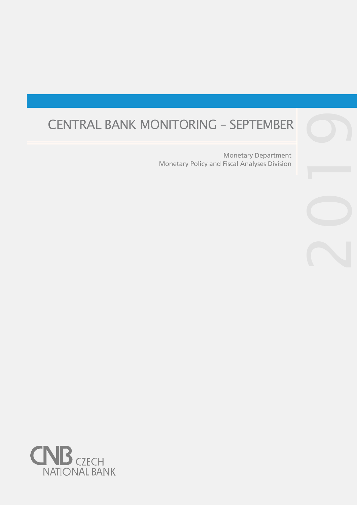# CENTRAL BANK MONITORING – SEPTEMBER

Monetary Policy and Fiscal Analyses Division Monetary Department

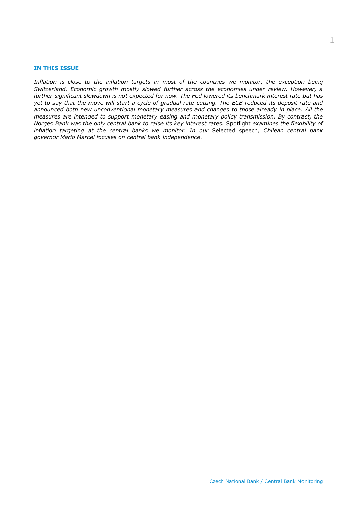# **IN THIS ISSUE**

*Inflation is close to the inflation targets in most of the countries we monitor, the exception being Switzerland. Economic growth mostly slowed further across the economies under review. However, a further significant slowdown is not expected for now. The Fed lowered its benchmark interest rate but has yet to say that the move will start a cycle of gradual rate cutting. The ECB reduced its deposit rate and announced both new unconventional monetary measures and changes to those already in place. All the measures are intended to support monetary easing and monetary policy transmission. By contrast, the Norges Bank was the only central bank to raise its key interest rates.* Spotlight *examines the flexibility of inflation targeting at the central banks we monitor. In our* Selected speech*, Chilean central bank governor Mario Marcel focuses on central bank independence.*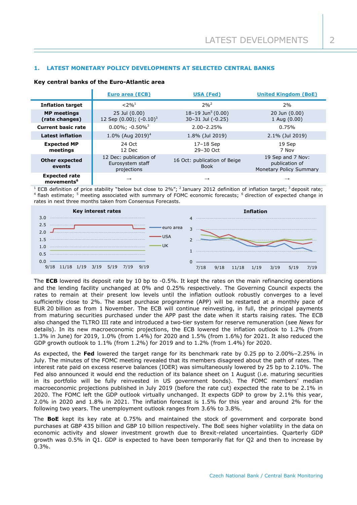# **1. LATEST MONETARY POLICY DEVELOPMENTS AT SELECTED CENTRAL BANKS**

#### **Key central banks of the Euro-Atlantic area**

|                                                | Euro area (ECB)                                           | USA (Fed)                                          | <b>United Kingdom (BoE)</b>                                    |  |  |
|------------------------------------------------|-----------------------------------------------------------|----------------------------------------------------|----------------------------------------------------------------|--|--|
| <b>Inflation target</b>                        | $< 2\%$ <sup>1</sup>                                      | $2%^{2}$                                           | 2%                                                             |  |  |
| <b>MP</b> meetings<br>(rate changes)           | 25 Jul (0.00)<br>12 Sep $(0.00)$ ; $(-0.10)^3$            | 18-19 Jun <sup>5</sup> (0.00)<br>30-31 Jul (-0.25) | 20 Jun (0.00)<br>1 Aug (0.00)                                  |  |  |
| <b>Current basic rate</b>                      | $0.00\%$ ; -0.50% <sup>3</sup>                            | $2.00 - 2.25%$                                     | 0.75%                                                          |  |  |
| <b>Latest inflation</b>                        | 1.0% (Aug 2019) <sup>4</sup>                              | 1.8% (Jul 2019)                                    | 2.1% (Jul 2019)                                                |  |  |
| <b>Expected MP</b><br>meetings                 | 24 Oct<br>12 Dec                                          | 17-18 Sep<br>29-30 Oct                             | 19 Sep<br>7 Nov                                                |  |  |
| <b>Other expected</b><br>events                | 12 Dec: publication of<br>Eurosystem staff<br>projections | 16 Oct: publication of Beige<br><b>Book</b>        | 19 Sep and 7 Nov:<br>publication of<br>Monetary Policy Summary |  |  |
| <b>Expected rate</b><br>movements <sup>6</sup> | $\longrightarrow$                                         | $\rightarrow$                                      | $\rightarrow$                                                  |  |  |

<sup>1</sup> ECB definition of price stability "below but close to 2%"; <sup>2</sup> January 2012 definition of inflation target; <sup>3</sup> deposit rate; <sup>4</sup> flash estimate; <sup>5</sup> meeting associated with summary of FOMC economic forecasts; <sup>6</sup> direction of expected change in rates in next three months taken from Consensus Forecasts.



The **ECB** lowered its deposit rate by 10 bp to -0.5%. It kept the rates on the main refinancing operations and the lending facility unchanged at 0% and 0.25% respectively. The Governing Council expects the rates to remain at their present low levels until the inflation outlook robustly converges to a level sufficiently close to 2%. The asset purchase programme (APP) will be restarted at a monthly pace of EUR 20 billion as from 1 November. The ECB will continue reinvesting, in full, the principal payments from maturing securities purchased under the APP past the date when it starts raising rates. The ECB also changed the TLTRO III rate and introduced a two-tier system for reserve remuneration (see *News* for details). In its new macroeconomic projections, the ECB lowered the inflation outlook to 1.2% (from 1.3% in June) for 2019, 1.0% (from 1.4%) for 2020 and 1.5% (from 1.6%) for 2021. It also reduced the GDP growth outlook to 1.1% (from 1.2%) for 2019 and to 1.2% (from 1.4%) for 2020.

As expected, the **Fed** lowered the target range for its benchmark rate by 0.25 pp to 2.00%–2.25% in July. The minutes of the FOMC meeting revealed that its members disagreed about the path of rates. The interest rate paid on excess reserve balances (IOER) was simultaneously lowered by 25 bp to 2.10%. The Fed also announced it would end the reduction of its balance sheet on 1 August (i.e. maturing securities in its portfolio will be fully reinvested in US government bonds). The FOMC members' median macroeconomic projections published in July 2019 (before the rate cut) expected the rate to be 2.1% in 2020. The FOMC left the GDP outlook virtually unchanged. It expects GDP to grow by 2.1% this year, 2.0% in 2020 and 1.8% in 2021. The inflation forecast is 1.5% for this year and around 2% for the following two years. The unemployment outlook ranges from 3.6% to 3.8%.

The **BoE** kept its key rate at 0.75% and maintained the stock of government and corporate bond purchases at GBP 435 billion and GBP 10 billion respectively. The BoE sees higher volatility in the data on economic activity and slower investment growth due to Brexit-related uncertainties. Quarterly GDP growth was 0.5% in Q1. GDP is expected to have been temporarily flat for Q2 and then to increase by 0.3%.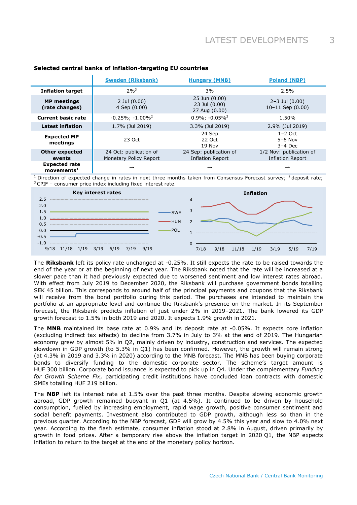|                                                   | <b>Sweden (Riksbank)</b>                         | <b>Hungary (MNB)</b>                              |                                                    |  |  |
|---------------------------------------------------|--------------------------------------------------|---------------------------------------------------|----------------------------------------------------|--|--|
| <b>Inflation target</b>                           | $2%^{3}$                                         | 3%                                                | 2.5%                                               |  |  |
| <b>MP</b> meetings<br>(rate changes)              | $2$ Jul $(0.00)$<br>4 Sep (0.00)                 | 25 Jun (0.00)<br>23 Jul (0.00)<br>27 Aug (0.00)   | $2 - 3$ Jul $(0.00)$<br>$10-11$ Sep $(0.00)$       |  |  |
| <b>Current basic rate</b>                         | $-0.25\%$ ; $-1.00\%$ <sup>2</sup>               | $0.9\%$ ; $-0.05\%$ <sup>2</sup>                  | 1.50%                                              |  |  |
| <b>Latest inflation</b>                           | 1.7% (Jul 2019)                                  | 3.3% (Jul 2019)                                   | 2.9% (Jul 2019)                                    |  |  |
| <b>Expected MP</b><br>meetings                    | 23 Oct                                           | 24 Sep<br>22 Oct<br>19 Nov                        | $1-2$ Oct<br>$5-6$ Nov<br>$3-4$ Dec                |  |  |
| <b>Other expected</b><br>events                   | 24 Oct: publication of<br>Monetary Policy Report | 24 Sep: publication of<br><b>Inflation Report</b> | 1/2 Nov: publication of<br><b>Inflation Report</b> |  |  |
| <b>Expected rate</b><br>$move$ ments <sup>1</sup> | $\rightarrow$                                    | $\rightarrow$                                     | $\rightarrow$                                      |  |  |

# **Selected central banks of inflation-targeting EU countries**

Direction of expected change in rates in next three months taken from Consensus Forecast survey;  $2$  deposit rate; <sup>3</sup> CPIF - consumer price index including fixed interest rate.



The **Riksbank** left its policy rate unchanged at -0.25%. It still expects the rate to be raised towards the end of the year or at the beginning of next year. The Riksbank noted that the rate will be increased at a slower pace than it had previously expected due to worsened sentiment and low interest rates abroad. With effect from July 2019 to December 2020, the Riksbank will purchase government bonds totalling SEK 45 billion. This corresponds to around half of the principal payments and coupons that the Riksbank will receive from the bond portfolio during this period. The purchases are intended to maintain the portfolio at an appropriate level and continue the Riksbank's presence on the market. In its September forecast, the Riksbank predicts inflation of just under 2% in 2019–2021. The bank lowered its GDP growth forecast to 1.5% in both 2019 and 2020. It expects 1.9% growth in 2021.

The **MNB** maintained its base rate at 0.9% and its deposit rate at -0.05%. It expects core inflation (excluding indirect tax effects) to decline from 3.7% in July to 3% at the end of 2019. The Hungarian economy grew by almost 5% in Q2, mainly driven by industry, construction and services. The expected slowdown in GDP growth (to 5.3% in Q1) has been confirmed. However, the growth will remain strong (at 4.3% in 2019 and 3.3% in 2020) according to the MNB forecast. The MNB has been buying corporate bonds to diversify funding to the domestic corporate sector. The scheme's target amount is HUF 300 billion. Corporate bond issuance is expected to pick up in Q4. Under the complementary *Funding for Growth Scheme Fix*, participating credit institutions have concluded loan contracts with domestic SMEs totalling HUF 219 billion.

The **NBP** left its interest rate at 1.5% over the past three months. Despite slowing economic growth abroad, GDP growth remained buoyant in Q1 (at 4.5%). It continued to be driven by household consumption, fuelled by increasing employment, rapid wage growth, positive consumer sentiment and social benefit payments. Investment also contributed to GDP growth, although less so than in the previous quarter. According to the NBP forecast, GDP will grow by 4.5% this year and slow to 4.0% next year. According to the flash estimate, consumer inflation stood at 2.8% in August, driven primarily by growth in food prices. After a temporary rise above the inflation target in 2020 Q1, the NBP expects inflation to return to the target at the end of the monetary policy horizon.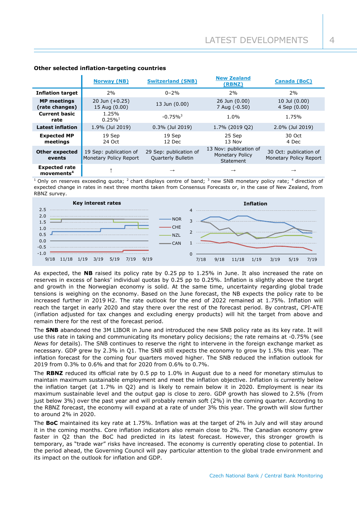|                                                   | <b>Norway (NB)</b>                               | <b>Switzerland (SNB)</b>                     | <b>New Zealand</b><br>(RBNZ)                                  | <b>Canada (BoC)</b>                              |
|---------------------------------------------------|--------------------------------------------------|----------------------------------------------|---------------------------------------------------------------|--------------------------------------------------|
| <b>Inflation target</b>                           | 2%                                               | $0 - 2%$                                     | 2%                                                            | 2%                                               |
| <b>MP</b> meetings<br>(rate changes)              | 20 Jun $(+0.25)$<br>15 Aug (0.00)                | 13 Jun (0.00)                                | 26 Jun (0.00)<br>7 Aug (-0.50)                                | 10 Jul (0.00)<br>4 Sep (0.00)                    |
| <b>Current basic</b><br>rate                      | 1.25%<br>$0.25\%$ <sup>1</sup>                   | $-0.75\%$ <sup>3</sup>                       | 1.0%                                                          | 1.75%                                            |
| <b>Latest inflation</b>                           | 1.9% (Jul 2019)                                  | $0.3\%$ (Jul 2019)                           | 1.7% (2019 Q2)                                                | 2.0% (Jul 2019)                                  |
| <b>Expected MP</b><br>meetings                    | 19 Sep<br>24 Oct                                 | 19 Sep<br>12 Dec                             | 25 Sep<br>13 Nov                                              | 30 Oct<br>4 Dec                                  |
| <b>Other expected</b><br>events                   | 19 Sep: publication of<br>Monetary Policy Report | 29 Sep: publication of<br>Quarterly Bulletin | 13 Nov: publication of<br><b>Monetary Policy</b><br>Statement | 30 Oct: publication of<br>Monetary Policy Report |
| <b>Expected rate</b><br>$m$ ovements <sup>4</sup> |                                                  |                                              | $\rightarrow$                                                 |                                                  |

# **Other selected inflation-targeting countries**

 $1$  Only on reserves exceeding quota;  $2$  chart displays centre of band;  $3$  new SNB monetary policy rate;  $4$  direction of expected change in rates in next three months taken from Consensus Forecasts or, in the case of New Zealand, from RBNZ survey.



As expected, the **NB** raised its policy rate by 0.25 pp to 1.25% in June. It also increased the rate on reserves in excess of banks' individual quotas by 0.25 pp to 0.25%. Inflation is slightly above the target and growth in the Norwegian economy is solid. At the same time, uncertainty regarding global trade tensions is weighing on the economy. Based on the June forecast, the NB expects the policy rate to be increased further in 2019 H2. The rate outlook for the end of 2022 remained at 1.75%. Inflation will reach the target in early 2020 and stay there over the rest of the forecast period. By contrast, CPI-ATE (inflation adjusted for tax changes and excluding energy products) will hit the target from above and remain there for the rest of the forecast period.

The **SNB** abandoned the 3M LIBOR in June and introduced the new SNB policy rate as its key rate. It will use this rate in taking and communicating its monetary policy decisions; the rate remains at -0.75% (see *News* for details). The SNB continues to reserve the right to intervene in the foreign exchange market as necessary. GDP grew by 2.3% in Q1. The SNB still expects the economy to grow by 1.5% this year. The inflation forecast for the coming four quarters moved higher. The SNB reduced the inflation outlook for 2019 from 0.3% to 0.6% and that for 2020 from 0.6% to 0.7%.

The **RBNZ** reduced its official rate by 0.5 pp to 1.0% in August due to a need for monetary stimulus to maintain maximum sustainable employment and meet the inflation objective. Inflation is currently below the inflation target (at 1.7% in Q2) and is likely to remain below it in 2020. Employment is near its maximum sustainable level and the output gap is close to zero. GDP growth has slowed to 2.5% (from just below 3%) over the past year and will probably remain soft (2%) in the coming quarter. According to the RBNZ forecast, the economy will expand at a rate of under 3% this year. The growth will slow further to around 2% in 2020.

The **BoC** maintained its key rate at 1.75%. Inflation was at the target of 2% in July and will stay around it in the coming months. Core inflation indicators also remain close to 2%. The Canadian economy grew faster in Q2 than the BoC had predicted in its latest forecast. However, this stronger growth is temporary, as "trade war" risks have increased. The economy is currently operating close to potential. In the period ahead, the Governing Council will pay particular attention to the global trade environment and its impact on the outlook for inflation and GDP.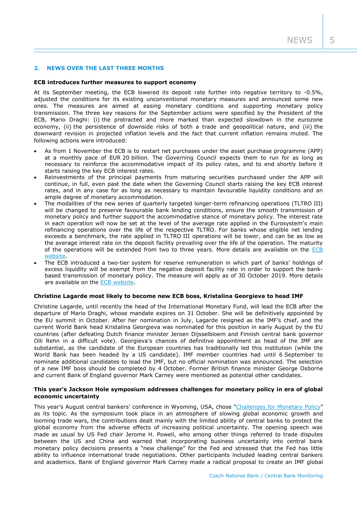## **2. NEWS OVER THE LAST THREE MONTHS**

#### **ECB introduces further measures to support economy**

At its September meeting, the ECB lowered its deposit rate further into negative territory to -0.5%, adjusted the conditions for its existing unconventional monetary measures and announced some new ones. The measures are aimed at easing monetary conditions and supporting monetary policy transmission. The three key reasons for the September actions were specified by the President of the ECB, Mario Draghi: (i) the protracted and more marked than expected slowdown in the eurozone economy, (ii) the persistence of downside risks of both a trade and geopolitical nature, and (iii) the downward revision in projected inflation levels and the fact that current inflation remains muted. The following actions were introduced:

- As from 1 November the ECB is to restart net purchases under the asset purchase programme (APP) at a monthly pace of EUR 20 billion. The Governing Council expects them to run for as long as necessary to reinforce the accommodative impact of its policy rates, and to end shortly before it starts raising the key ECB interest rates.
- Reinvestments of the principal payments from maturing securities purchased under the APP will continue, in full, even past the date when the Governing Council starts raising the key ECB interest rates, and in any case for as long as necessary to maintain favourable liquidity conditions and an ample degree of monetary accommodation.
- The modalities of the new series of quarterly targeted longer-term refinancing operations (TLTRO III) will be changed to preserve favourable bank lending conditions, ensure the smooth transmission of monetary policy and further support the accommodative stance of monetary policy. The interest rate in each operation will now be set at the level of the average rate applied in the Eurosystem's main refinancing operations over the life of the respective TLTRO. For banks whose eligible net lending exceeds a benchmark, the rate applied in TLTRO III operations will be lower, and can be as low as the average interest rate on the deposit facility prevailing over the life of the operation. The maturity of the operations will be extended from two to three years. More details are available on the [ECB](https://www.ecb.europa.eu/press/pr/date/2019/html/ecb.pr190912~19ac2682ff.en.html)  [website.](https://www.ecb.europa.eu/press/pr/date/2019/html/ecb.pr190912~19ac2682ff.en.html)
- The ECB introduced a two-tier system for reserve remuneration in which part of banks' holdings of excess liquidity will be exempt from the negative deposit facility rate in order to support the bankbased transmission of monetary policy. The measure will apply as of 30 October 2019. More details are available on the [ECB website.](https://www.ecb.europa.eu/press/pr/date/2019/html/ecb.pr190912_2~a0b47cd62a.en.html)

#### **Christine Lagarde most likely to become new ECB boss, Kristalina Georgieva to head IMF**

Christine Lagarde, until recently the head of the International Monetary Fund, will lead the ECB after the departure of Mario Draghi, whose mandate expires on 31 October. She will be definitively appointed by the EU summit in October. After her nomination in July, Lagarde resigned as the IMF's chief, and the current World Bank head Kristalina Georgieva was nominated for this position in early August by the EU countries (after defeating Dutch finance minister Jeroen Dijsselbloem and Finnish central bank governor Olli Rehn in a difficult vote). Georgieva's chances of definitive appointment as head of the IMF are substantial, as the candidate of the European countries has traditionally led this institution (while the World Bank has been headed by a US candidate). IMF member countries had until 6 September to nominate additional candidates to lead the IMF, but no official nomination was announced. The selection of a new IMF boss should be completed by 4 October. Former British finance minister George Osborne and current Bank of England governor Mark Carney were mentioned as potential other candidates.

### **This year's Jackson Hole symposium addresses challenges for monetary policy in era of global economic uncertainty**

This year's August central bankers' conference in Wyoming, USA, chose "[Challenges for Monetary Policy](https://www.kansascityfed.org/publications/research/escp/symposiums/escp-2019)" as its topic. As the symposium took place in an atmosphere of slowing global economic growth and looming trade wars, the contributions dealt mainly with the limited ability of central banks to protect the global economy from the adverse effects of increasing political uncertainty. The opening speech was made as usual by US Fed chair Jerome H. Powell, who among other things referred to trade disputes between the US and China and warned that incorporating business uncertainty into central bank monetary policy decisions presents a "new challenge" for the Fed and stressed that the Fed has little ability to influence international trade negotiations. Other participants included leading central bankers and academics. Bank of England governor Mark Carney made a radical proposal to create an IMF global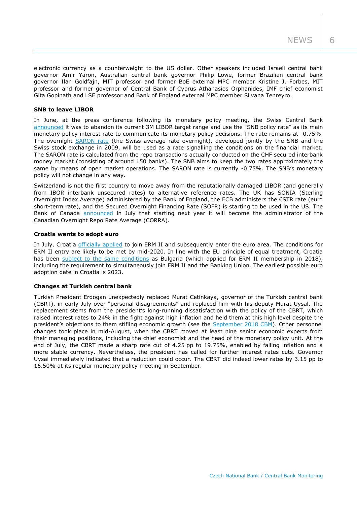electronic currency as a counterweight to the US dollar. Other speakers included Israeli central bank governor Amir Yaron, Australian central bank governor Philip Lowe, former Brazilian central bank governor Ilan Goldfajn, MIT professor and former BoE external MPC member Kristine J. Forbes, MIT professor and former governor of Central Bank of Cyprus Athanasios Orphanides, IMF chief economist Gita Gopinath and LSE professor and Bank of England external MPC member Silvana Tenreyro.

## **SNB to leave LIBOR**

In June, at the press conference following its monetary policy meeting, the Swiss Central Bank [announced](https://www.snb.ch/en/mmr/speeches/id/ref_20190613_tjn/source/ref_20190613_tjn.en.pdf) it was to abandon its current 3M LIBOR target range and use the "SNB policy rate" as its main monetary policy interest rate to communicate its monetary policy decisions. The rate remains at -0.75%. The overnight [SARON rate](https://www.snb.ch/en/ifor/finmkt/id/finmkt_repos_saron) (the Swiss average rate overnight), developed jointly by the SNB and the Swiss stock exchange in 2009, will be used as a rate signalling the conditions on the financial market. The SARON rate is calculated from the repo transactions actually conducted on the CHF secured interbank money market (consisting of around 150 banks). The SNB aims to keep the two rates approximately the same by means of open market operations. The SARON rate is currently -0.75%. The SNB's monetary policy will not change in any way.

Switzerland is not the first country to move away from the reputationally damaged LIBOR (and generally from IBOR interbank unsecured rates) to alternative reference rates. The UK has SONIA (Sterling Overnight Index Average) administered by the Bank of England, the ECB administers the €STR rate (euro short-term rate), and the Secured Overnight Financing Rate (SOFR) is starting to be used in the US. The Bank of Canada [announced](https://www.bankofcanada.ca/2019/07/bank-canada-become-administrator-key-interest/) in July that starting next year it will become the administrator of the Canadian Overnight Repo Rate Average (CORRA).

#### **Croatia wants to adopt euro**

In July, Croatia [officially applied](https://www.consilium.europa.eu/media/40282/letter-of-intent.pdf) to join ERM II and subsequently enter the euro area. The conditions for ERM II entry are likely to be met by mid-2020. In line with the EU principle of equal treatment, Croatia has been [subject to the same conditions](https://www.consilium.europa.eu/en/press/press-releases/2019/07/08/statement-on-croatia-s-path-towards-erm-ii-participation/) as Bulgaria (which applied for ERM II membership in 2018), including the requirement to simultaneously join ERM II and the Banking Union. The earliest possible euro adoption date in Croatia is 2023.

#### **Changes at Turkish central bank**

Turkish President Erdogan unexpectedly replaced Murat Cetinkaya, governor of the Turkish central bank (CBRT), in early July over "personal disagreements" and replaced him with his deputy Murat Uysal. The replacement stems from the president's long-running dissatisfaction with the policy of the CBRT, which raised interest rates to 24% in the fight against high inflation and held them at this high level despite the president's objections to them stifling economic growth (see the [September 2018 CBM\)](https://www.cnb.cz/export/sites/cnb/en/monetary-policy/.galleries/monitoring/1803_cbm.pdf). Other personnel changes took place in mid-August, when the CBRT moved at least nine senior economic experts from their managing positions, including the chief economist and the head of the monetary policy unit. At the end of July, the CBRT made a sharp rate cut of 4.25 pp to 19.75%, enabled by falling inflation and a more stable currency. Nevertheless, the president has called for further interest rates cuts. Governor Uysal immediately indicated that a reduction could occur. The CBRT did indeed lower rates by 3.15 pp to 16.50% at its regular monetary policy meeting in September.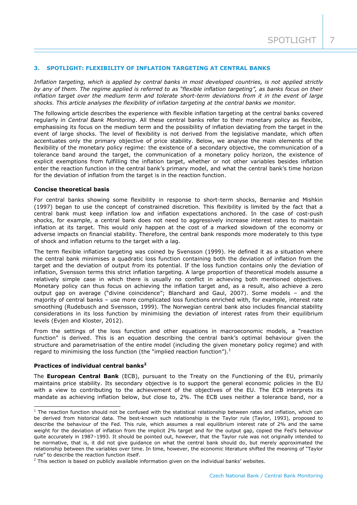## **3. SPOTLIGHT: FLEXIBILITY OF INFLATION TARGETING AT CENTRAL BANKS**

*Inflation targeting, which is applied by central banks in most developed countries, is not applied strictly by any of them. The regime applied is referred to as "flexible inflation targeting", as banks focus on their*  inflation target over the medium term and tolerate short-term deviations from it in the event of large *shocks. This article analyses the flexibility of inflation targeting at the central banks we monitor.*

The following article describes the experience with flexible inflation targeting at the central banks covered regularly in *Central Bank Monitoring*. All these central banks refer to their monetary policy as flexible, emphasising its focus on the medium term and the possibility of inflation deviating from the target in the event of large shocks. The level of flexibility is not derived from the legislative mandate, which often accentuates only the primary objective of price stability. Below, we analyse the main elements of the flexibility of the monetary policy regime: the existence of a secondary objective, the communication of a tolerance band around the target, the communication of a monetary policy horizon, the existence of explicit exemptions from fulfilling the inflation target, whether or not other variables besides inflation enter the reaction function in the central bank's primary model, and what the central bank's time horizon for the deviation of inflation from the target is in the reaction function.

#### **Concise theoretical basis**

For central banks showing some flexibility in response to short-term shocks, Bernanke and Mishkin (1997) began to use the concept of constrained discretion. This flexibility is limited by the fact that a central bank must keep inflation low and inflation expectations anchored. In the case of cost-push shocks, for example, a central bank does not need to aggressively increase interest rates to maintain inflation at its target. This would only happen at the cost of a marked slowdown of the economy or adverse impacts on financial stability. Therefore, the central bank responds more moderately to this type of shock and inflation returns to the target with a lag.

The term flexible inflation targeting was coined by Svensson (1999). He defined it as a situation where the central bank minimises a quadratic loss function containing both the deviation of inflation from the target and the deviation of output from its potential. If the loss function contains only the deviation of inflation, Svensson terms this strict inflation targeting. A large proportion of theoretical models assume a relatively simple case in which there is usually no conflict in achieving both mentioned objectives. Monetary policy can thus focus on achieving the inflation target and, as a result, also achieve a zero output gap on average ("divine coincidence"; Blanchard and Gaul, 2007). Some models – and the majority of central banks – use more complicated loss functions enriched with, for example, interest rate smoothing (Rudebusch and Svensson, 1999). The Norwegian central bank also includes financial stability considerations in its loss function by minimising the deviation of interest rates from their equilibrium levels (Evjen and Kloster, 2012).

From the settings of the loss function and other equations in macroeconomic models, a "reaction function" is derived. This is an equation describing the central bank's optimal behaviour given the structure and parametrisation of the entire model (including the given monetary policy regime) and with regard to minimising the loss function (the "implied reaction function"). $<sup>1</sup>$ </sup>

#### **Practices of individual central banks<sup>2</sup>**

-

The **European Central Bank** (ECB), pursuant to the Treaty on the Functioning of the EU, primarily maintains price stability. Its secondary objective is to support the general economic policies in the EU with a view to contributing to the achievement of the objectives of the EU. The ECB interprets its mandate as achieving inflation below, but close to, 2%. The ECB uses neither a tolerance band, nor a

 $1$  The reaction function should not be confused with the statistical relationship between rates and inflation, which can be derived from historical data. The best-known such relationship is the Taylor rule (Taylor, 1993), proposed to describe the behaviour of the Fed. This rule, which assumes a real equilibrium interest rate of 2% and the same weight for the deviation of inflation from the implicit 2% target and for the output gap, copied the Fed's behaviour quite accurately in 1987–1993. It should be pointed out, however, that the Taylor rule was not originally intended to be normative, that is, it did not give guidance on what the central bank should do, but merely approximated the relationship between the variables over time. In time, however, the economic literature shifted the meaning of "Taylor rule" to describe the reaction function itself.

<sup>&</sup>lt;sup>2</sup> This section is based on publicly available information given on the individual banks' websites.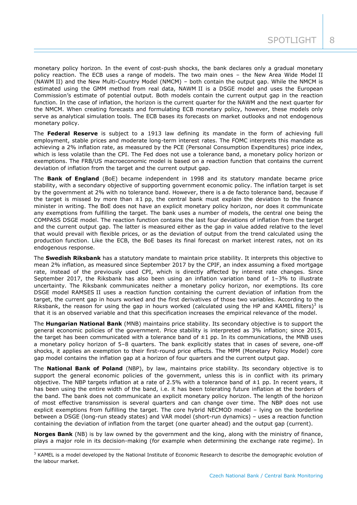monetary policy horizon. In the event of cost-push shocks, the bank declares only a gradual monetary policy reaction. The ECB uses a range of models. The two main ones – the New Area Wide Model II (NAWM II) and the New Multi-Country Model (NMCM) – both contain the output gap. While the NMCM is estimated using the GMM method from real data, NAWM II is a DSGE model and uses the European Commission's estimate of potential output. Both models contain the current output gap in the reaction function. In the case of inflation, the horizon is the current quarter for the NAWM and the next quarter for the NMCM. When creating forecasts and formulating ECB monetary policy, however, these models only serve as analytical simulation tools. The ECB bases its forecasts on market outlooks and not endogenous monetary policy.

The **Federal Reserve** is subject to a 1913 law defining its mandate in the form of achieving full employment, stable prices and moderate long-term interest rates. The FOMC interprets this mandate as achieving a 2% inflation rate, as measured by the PCE (Personal Consumption Expenditures) price index, which is less volatile than the CPI. The Fed does not use a tolerance band, a monetary policy horizon or exemptions. The FRB/US macroeconomic model is based on a reaction function that contains the current deviation of inflation from the target and the current output gap.

The **Bank of England** (BoE) became independent in 1998 and its statutory mandate became price stability, with a secondary objective of supporting government economic policy. The inflation target is set by the government at 2% with no tolerance band. However, there is a de facto tolerance band, because if the target is missed by more than  $\pm 1$  pp, the central bank must explain the deviation to the finance minister in writing. The BoE does not have an explicit monetary policy horizon, nor does it communicate any exemptions from fulfilling the target. The bank uses a number of models, the central one being the COMPASS DSGE model. The reaction function contains the last four deviations of inflation from the target and the current output gap. The latter is measured either as the gap in value added relative to the level that would prevail with flexible prices, or as the deviation of output from the trend calculated using the production function. Like the ECB, the BoE bases its final forecast on market interest rates, not on its endogenous response.

The **Swedish Riksbank** has a statutory mandate to maintain price stability. It interprets this objective to mean 2% inflation, as measured since September 2017 by the CPIF, an index assuming a fixed mortgage rate, instead of the previously used CPI, which is directly affected by interest rate changes. Since September 2017, the Riksbank has also been using an inflation variation band of 1–3% to illustrate uncertainty. The Riksbank communicates neither a monetary policy horizon, nor exemptions. Its core DSGE model RAMSES II uses a reaction function containing the current deviation of inflation from the target, the current gap in hours worked and the first derivatives of those two variables. According to the Riksbank, the reason for using the gap in hours worked (calculated using the HP and KAMEL filters)<sup>3</sup> is that it is an observed variable and that this specification increases the empirical relevance of the model.

The **Hungarian National Bank** (MNB) maintains price stability. Its secondary objective is to support the general economic policies of the government. Price stability is interpreted as 3% inflation; since 2015, the target has been communicated with a tolerance band of  $\pm 1$  pp. In its communications, the MNB uses a monetary policy horizon of 5–8 quarters. The bank explicitly states that in cases of severe, one-off shocks, it applies an exemption to their first-round price effects. The MPM (Monetary Policy Model) core gap model contains the inflation gap at a horizon of four quarters and the current output gap.

The **National Bank of Poland** (NBP), by law, maintains price stability. Its secondary objective is to support the general economic policies of the government, unless this is in conflict with its primary objective. The NBP targets inflation at a rate of 2.5% with a tolerance band of  $\pm 1$  pp. In recent years, it has been using the entire width of the band, i.e. it has been tolerating future inflation at the borders of the band. The bank does not communicate an explicit monetary policy horizon. The length of the horizon of most effective transmission is several quarters and can change over time. The NBP does not use explicit exemptions from fulfilling the target. The core hybrid NECMOD model – lying on the borderline between a DSGE (long-run steady states) and VAR model (short-run dynamics) – uses a reaction function containing the deviation of inflation from the target (one quarter ahead) and the output gap (current).

**Norges Bank** (NB) is by law owned by the government and the king, along with the ministry of finance, plays a major role in its decision-making (for example when determining the exchange rate regime). In

-

<sup>&</sup>lt;sup>3</sup> KAMEL is a model developed by the National Institute of Economic Research to describe the demographic evolution of the labour market.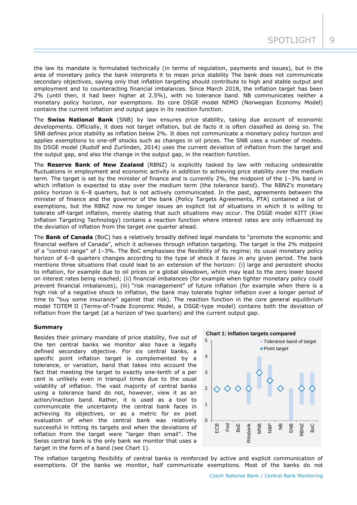the law its mandate is formulated technically (in terms of regulation, payments and issues), but in the area of monetary policy the bank interprets it to mean price stability The bank does not communicate secondary objectives, saying only that inflation targeting should contribute to high and stable output and employment and to counteracting financial imbalances. Since March 2018, the inflation target has been 2% (until then, it had been higher at 2.5%), with no tolerance band. NB communicates neither a monetary policy horizon, nor exemptions. Its core DSGE model NEMO (Norwegian Economy Model) contains the current inflation and output gaps in its reaction function.

The **Swiss National Bank** (SNB) by law ensures price stability, taking due account of economic developments. Officially, it does not target inflation, but de facto it is often classified as doing so. The SNB defines price stability as inflation below 2%. It does not communicate a monetary policy horizon and applies exemptions to one-off shocks such as changes in oil prices. The SNB uses a number of models. Its DSGE model (Rudolf and Zurlinden, 2014) uses the current deviation of inflation from the target and the output gap, and also the change in the output gap, in the reaction function.

The **Reserve Bank of New Zealand** (RBNZ) is explicitly tasked by law with reducing undesirable fluctuations in employment and economic activity in addition to achieving price stability over the medium term. The target is set by the minister of finance and is currently 2%, the midpoint of the 1–3% band in which inflation is expected to stay over the medium term (the tolerance band). The RBNZ's monetary policy horizon is 6–8 quarters, but is not actively communicated. In the past, agreements between the minister of finance and the governor of the bank (Policy Targets Agreements, PTA) contained a list of exemptions, but the RBNZ now no longer issues an explicit list of situations in which it is willing to tolerate off-target inflation, merely stating that such situations may occur. The DSGE model KITT (Kiwi Inflation Targeting Technology) contains a reaction function where interest rates are only influenced by the deviation of inflation from the target one quarter ahead.

The **Bank of Canada** (BoC) has a relatively broadly defined legal mandate to "promote the economic and financial welfare of Canada", which it achieves through inflation targeting. The target is the 2% midpoint of a "control range" of 1–3%. The BoC emphasises the flexibility of its regime; its usual monetary policy horizon of 6–8 quarters changes according to the type of shock it faces in any given period. The bank mentions three situations that could lead to an extension of the horizon: (i) large and persistent shocks to inflation, for example due to oil prices or a global slowdown, which may lead to the zero lower bound on interest rates being reached; (ii) financial imbalances (for example when tighter monetary policy could prevent financial imbalances), (iii) "risk management" of future inflation (for example when there is a high risk of a negative shock to inflation, the bank may tolerate higher inflation over a longer period of time to "buy some insurance" against that risk). The reaction function in the core general equilibrium model TOTEM II (Terms-of-Trade Economic Model, a DSGE-type model) contains both the deviation of inflation from the target (at a horizon of two quarters) and the current output gap.

# **Summary**

Besides their primary mandate of price stability, five out of the ten central banks we monitor also have a legally defined secondary objective. For six central banks, a specific point inflation target is complemented by a tolerance, or variation, band that takes into account the fact that meeting the target to exactly one-tenth of a per cent is unlikely even in tranquil times due to the usual volatility of inflation. The vast majority of central banks using a tolerance band do not, however, view it as an action/inaction band. Rather, it is used as a tool to communicate the uncertainty the central bank faces in achieving its objectives, or as a metric for ex post evaluation of when the central bank was relatively successful in hitting its targets and when the deviations of inflation from the target were "larger than small". The Swiss central bank is the only bank we monitor that uses a target in the form of a band (see Chart 1).



The inflation targeting flexibility of central banks is reinforced by active and explicit communication of exemptions. Of the banks we monitor, half communicate exemptions. Most of the banks do not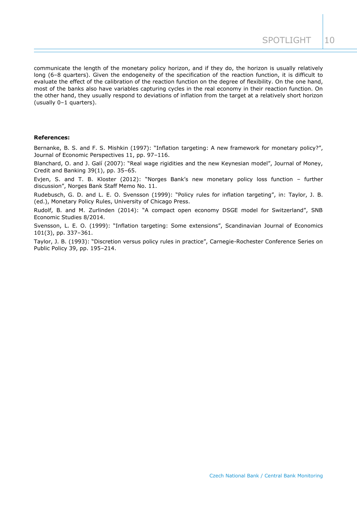communicate the length of the monetary policy horizon, and if they do, the horizon is usually relatively long (6–8 quarters). Given the endogeneity of the specification of the reaction function, it is difficult to evaluate the effect of the calibration of the reaction function on the degree of flexibility. On the one hand, most of the banks also have variables capturing cycles in the real economy in their reaction function. On the other hand, they usually respond to deviations of inflation from the target at a relatively short horizon (usually 0–1 quarters).

#### **References:**

Bernanke, B. S. and F. S. Mishkin (1997): "Inflation targeting: A new framework for monetary policy?", Journal of Economic Perspectives 11, pp. 97–116.

Blanchard, O. and J. Galí (2007): "Real wage rigidities and the new Keynesian model", Journal of Money, Credit and Banking 39(1), pp. 35–65.

Evjen, S. and T. B. Kloster (2012): "Norges Bank's new monetary policy loss function – further discussion", Norges Bank Staff Memo No. 11.

Rudebusch, G. D. and L. E. O. Svensson (1999): "Policy rules for inflation targeting", in: Taylor, J. B. (ed.), Monetary Policy Rules, University of Chicago Press.

Rudolf, B. and M. Zurlinden (2014): "A compact open economy DSGE model for Switzerland", SNB Economic Studies 8/2014.

Svensson, L. E. O. (1999): "Inflation targeting: Some extensions", Scandinavian Journal of Economics 101(3), pp. 337–361.

Taylor, J. B. (1993): "Discretion versus policy rules in practice", Carnegie-Rochester Conference Series on Public Policy 39, pp. 195–214.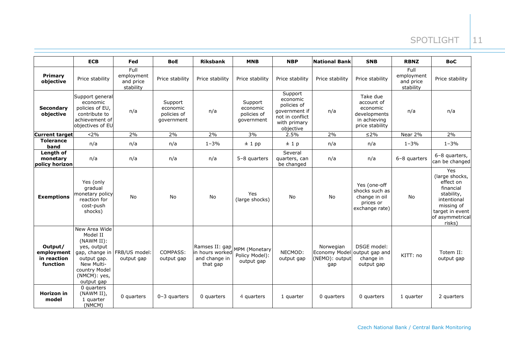# SPOTLIGHT |11

|                                                  | <b>ECB</b>                                                                                                                                                         | Fed                                          | <b>BoE</b>                                       | <b>Riksbank</b>                                                | <b>MNB</b>                                       | <b>NBP</b>                                                                                          | <b>National Bank</b>                                | <b>SNB</b>                                                                            | <b>RBNZ</b>                                  | <b>BoC</b>                                                                                                                                 |
|--------------------------------------------------|--------------------------------------------------------------------------------------------------------------------------------------------------------------------|----------------------------------------------|--------------------------------------------------|----------------------------------------------------------------|--------------------------------------------------|-----------------------------------------------------------------------------------------------------|-----------------------------------------------------|---------------------------------------------------------------------------------------|----------------------------------------------|--------------------------------------------------------------------------------------------------------------------------------------------|
| Primary<br>objective                             | Price stability                                                                                                                                                    | Full<br>employment<br>and price<br>stability | Price stability                                  | Price stability                                                | Price stability                                  | Price stability                                                                                     | Price stability                                     | Price stability                                                                       | Full<br>employment<br>and price<br>stability | Price stability                                                                                                                            |
| <b>Secondary</b><br>objective                    | Support general<br>economic<br>policies of EU,<br>contribute to<br>achievement of<br>objectives of EU                                                              | n/a                                          | Support<br>economic<br>policies of<br>government | n/a                                                            | Support<br>economic<br>policies of<br>qovernment | Support<br>economic<br>policies of<br>government if<br>not in conflict<br>with primary<br>objective | n/a                                                 | Take due<br>account of<br>economic<br>developments<br>in achieving<br>price stability | n/a                                          | n/a                                                                                                                                        |
| <b>Current target</b>                            | < 2%                                                                                                                                                               | 2%                                           | 2%                                               | 2%                                                             | 3%                                               | 2.5%                                                                                                | 2%                                                  | $\leq$ 2%                                                                             | Near 2%                                      | 2%                                                                                                                                         |
| <b>Tolerance</b><br>band                         | n/a                                                                                                                                                                | n/a                                          | n/a                                              | $1 - 3%$                                                       | ± 1 pp                                           | ±1p                                                                                                 | n/a                                                 | n/a                                                                                   | $1 - 3\%$                                    | $1 - 3%$                                                                                                                                   |
| Length of<br>monetary<br>policy horizon          | n/a                                                                                                                                                                | n/a                                          | n/a                                              | n/a                                                            | 5-8 quarters                                     | Several<br>quarters, can<br>be changed                                                              | n/a                                                 | n/a                                                                                   | 6-8 quarters                                 | 6-8 quarters,<br>can be changed                                                                                                            |
| <b>Exemptions</b>                                | Yes (only<br>gradual<br>monetary policy<br>reaction for<br>cost-push<br>shocks)                                                                                    | No.                                          | No                                               | No                                                             | Yes<br>(large shocks)                            | No                                                                                                  | No                                                  | Yes (one-off<br>shocks such as<br>change in oil<br>prices or<br>exchange rate)        | No                                           | Yes<br>(large shocks,<br>effect on<br>financial<br>stability,<br>intentional<br>missing of<br>target in event<br>of asymmetrical<br>risks) |
| Output/<br>employment<br>in reaction<br>function | New Area Wide<br>Model II<br>(NAWM II):<br>yes, output<br>gap, change in FRB/US model:<br>output gap.<br>New Multi-<br>country Model<br>(NMCM): yes,<br>output gap | output gap                                   | COMPASS:<br>output gap                           | Ramses II: gap<br>in hours worked<br>and change in<br>that gap | MPM (Monetary<br>Policy Model):<br>output gap    | NECMOD:<br>output gap                                                                               | Norwegian<br>Economy Model<br>(NEMO): output<br>gap | DSGE model:<br>output gap and<br>change in<br>output gap                              | KITT: no                                     | Totem II:<br>output gap                                                                                                                    |
| <b>Horizon</b> in<br>model                       | 0 quarters<br>(NAWM II),<br>1 quarter<br>(NMCM)                                                                                                                    | 0 quarters                                   | $0 - 3$ quarters                                 | 0 quarters                                                     | 4 quarters                                       | 1 quarter                                                                                           | 0 quarters                                          | 0 quarters                                                                            | 1 quarter                                    | 2 quarters                                                                                                                                 |